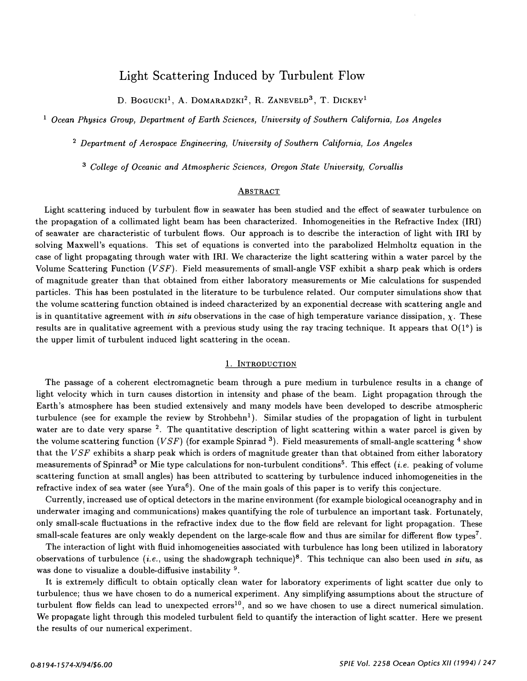# Light Scattering Induced by Turbulent Flow

D. BOGUCKI<sup>1</sup>, A. DOMARADZKI<sup>2</sup>, R. ZANEVELD<sup>3</sup>, T. DICKEY<sup>1</sup>

<sup>1</sup> Ocean Physics Group, Department of Earth Sciences, University of Southern California, Los Angeles

2 Department of Aerospace Engineering, University of Southern California, Los Angeles

3 College of Oceanic and Atmospheric Sciences, Oregon State University, Corvallis

# **ABSTRACT**

Light scattering induced by turbulent flow in seawater has been studied and the effect of seawater turbulence on the propagation of a collimated light beam has been characterized. Inhomogeneities in the Refractive Index (IRI) of seawater are characteristic of turbulent flows. Our approach is to describe the interaction of light with IRI by solving Maxwell's equations. This set of equations is converted into the parabolized Helmholtz equation in the case of light propagating through water with IRI. We characterize the light scattering within a water parcel by the Volume Scattering Function (VSF). Field measurements of small-angle VSF exhibit a sharp peak which is orders of magnitude greater than that obtained from either laboratory measurements or Mie calculations for suspended particles. This has been postulated in the literature to be turbulence related. Our computer simulations show that the volume scattering function obtained is indeed characterized by an exponential decrease with scattering angle and is in quantitative agreement with in situ observations in the case of high temperature variance dissipation,  $\chi$ . These results are in qualitative agreement with a previous study using the ray tracing technique. It appears that  $O(1^{\circ})$  is the upper limit of turbulent induced light scattering in the ocean.

#### 1. INTRODUCTION

The passage of a coherent electromagnetic beam through a pure medium in turbulence results in a change of light velocity which in turn causes distortion in intensity and phase of the beam. Light propagation through the Earth's atmosphere has been studied extensively and many models have been developed to describe atmospheric turbulence (see for example the review by  $Strohbehn<sup>1</sup>$ ). Similar studies of the propagation of light in turbulent water are to date very sparse  $2$ . The quantitative description of light scattering within a water parcel is given by the volume scattering function (VSF) (for example Spinrad <sup>3</sup>). Field measurements of small-angle scattering <sup>4</sup> show that the  $VSF$  exhibits a sharp peak which is orders of magnitude greater than that obtained from either laboratory measurements of Spinrad<sup>3</sup> or Mie type calculations for non-turbulent conditions<sup>5</sup>. This effect *(i.e.* peaking of volume scattering function at small angles) has been attributed to scattering by turbulence induced inhomogeneities in the refractive index of sea water (see Yura<sup>6</sup>). One of the main goals of this paper is to verify this conjecture.

Currently, increased use of optical detectors in the marine environment (for example biological oceanography and in underwater imaging and communications) makes quantifying the role of turbulence an important task. Fortunately, only small-scale fluctuations in the refractive index due to the flow field are relevant for light propagation. These small-scale features are only weakly dependent on the large-scale flow and thus are similar for different flow types7.

The interaction of light with fluid inhomogeneities associated with turbulence has long been utilized in laboratory observations of turbulence (*i.e.*, using the shadowgraph technique)<sup>8</sup>. This technique can also been used in situ, as was done to visualize a double-diffusive instability  $9$ .

It is extremely difficult to obtain optically clean water for laboratory experiments of light scatter due only to turbulence; thus we have chosen to do a numerical experiment. Any simplifying assumptions about the structure of turbulent flow fields can lead to unexpected errors<sup>10</sup>, and so we have chosen to use a direct numerical simulation. We propagate light through this modeled turbulent field to quantify the interaction of light scatter. Here we present the results of our numerical experiment.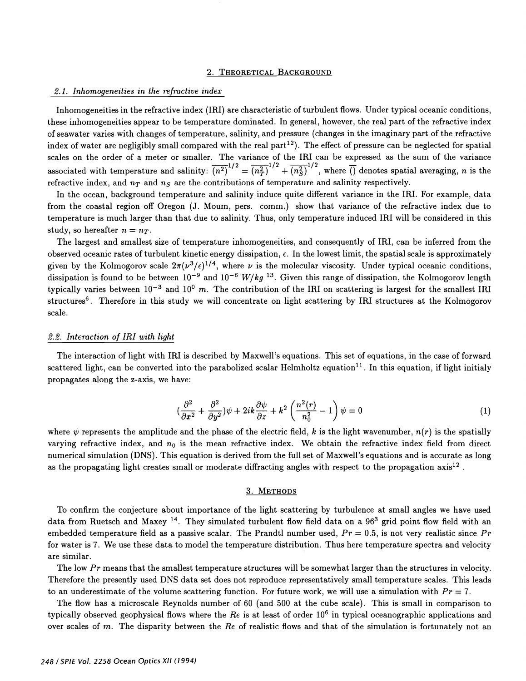#### 2. THEORETICAL BACKGROUND

#### $2.1.$  Inhomogeneities in the refractive index

Inhomogeneities in the refractive index (IRI) are characteristic of turbulent flows. Under typical oceanic conditions, these inhomogeneities appear to be temperature dominated. In general, however, the real part of the refractive index of seawater varies with changes of temperature, salinity, and pressure (changes in the imaginary part of the refractive index of water are negligibly small compared with the real part<sup>12</sup>). The effect of pressure can be neglected for spatial scales on the order of a meter or smaller. The variance of the IRI can be expressed as the sum of the variance associated with temperature and salinity:  $\overline{(n^2)}^{1/2} = (n_T^2)^{1/2} + (n_S^2)^{1/2}$ , where () denotes spatial averaging, n is the refractive index, and  $n<sub>T</sub>$  and  $n<sub>S</sub>$  are the contributions of temperature and salinity respectively.

In the ocean, background temperature and salinity induce quite different variance in the IRI. For example, data from the coastal region off Oregon (J. Mourn, pers. comm.) show that variance of the refractive index due to temperature is much larger than that due to salinity. Thus, only temperature induced IRI will be considered in this study, so hereafter  $n = n_T$ .

The largest and smallest size of temperature inhomogeneities, and consequently of IRI, can be inferred from the observed oceanic rates of turbulent kinetic energy dissipation,  $\epsilon$ . In the lowest limit, the spatial scale is approximately given by the Kolmogorov scale  $2\pi(\nu^3/\epsilon)^{1/4}$ , where  $\nu$  is the molecular viscosity. Under typical oceanic conditions, dissipation is found to be between  $10^{-9}$  and  $10^{-6}$  W/kg <sup>13</sup>. Given this range of dissipation, the Kolmogorov length typically varies between  $10^{-3}$  and  $10^{0}$  m. The contribution of the IRI on scattering is largest for the smallest IRI structures<sup>6</sup>. Therefore in this study we will concentrate on light scattering by IRI structures at the Kolmogorov scale.

# 2.2. Interaction of IRI with light

The interaction of light with IRI is described by Maxwell's equations. This set of equations, in the case of forward scattered light, can be converted into the parabolized scalar Helmholtz equation<sup>11</sup>. In this equation, if light initialy propagates along the z-axis, we have:

$$
\left(\frac{\partial^2}{\partial x^2} + \frac{\partial^2}{\partial y^2}\right)\psi + 2ik\frac{\partial\psi}{\partial z} + k^2\left(\frac{n^2(r)}{n_0^2} - 1\right)\psi = 0\tag{1}
$$

where  $\psi$  represents the amplitude and the phase of the electric field, k is the light wavenumber,  $n(r)$  is the spatially varying refractive index, and  $n_0$  is the mean refractive index. We obtain the refractive index field from direct numerical simulation (DNS) . This equation is derived from the full set of Maxwell's equations and is accurate as long as the propagating light creates small or moderate diffracting angles with respect to the propagation axis<sup>12</sup>.

# 3. METHODS

To confirm the conjecture about importance of the light scattering by turbulence at small angles we have used data from Ruetsch and Maxey  $^{14}$ . They simulated turbulent flow field data on a 96<sup>3</sup> grid point flow field with an embedded temperature field as a passive scalar. The Prandtl number used,  $Pr = 0.5$ , is not very realistic since Pr for water is 7. We use these data to model the temperature distribution. Thus here temperature spectra and velocity are similar.

The low Pr means that the smallest temperature structures will be somewhat larger than the structures in velocity. Therefore the presently used DNS data set does not reproduce representatively small temperature scales. This leads to an underestimate of the volume scattering function. For future work, we will use a simulation with  $Pr = 7$ .

The flow has a microscale Reynolds number of 60 (and 500 at the cube scale). This is small in comparison to typically observed geophysical flows where the Re is at least of order  $10^6$  in typical oceanographic applications and over scales of m. The disparity between the Re of realistic flows and that of the simulation is fortunately not an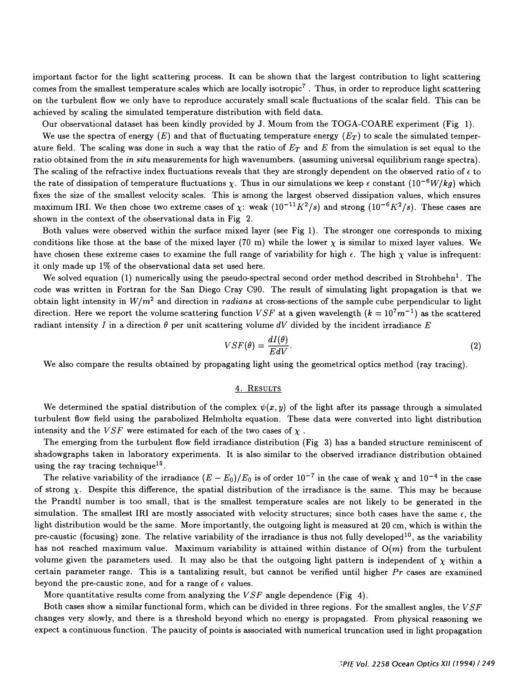important factor for the light scattering process. It can be shown that the largest contribution to light scattering comes from the smallest temperature scales which are locally isotropic<sup>7</sup>. Thus, in order to reproduce light scattering on the turbulent flow we only have to reproduce accurately small scale fluctuations of the scalar field. This can be achieved by scaling the simulated temperature distribution with field data.

Our observational dataset has been kindly provided by J. Moum from the TOGA-COARE experiment (Fig 1).

We use the spectra of energy  $(E)$  and that of fluctuating temperature energy  $(E_T)$  to scale the simulated temperature field. The scaling was done in such a way that the ratio of  $E_T$  and E from the simulation is set equal to the ratio obtained from the *in situ* measurements for high wavenumbers. (assuming universal equilibrium range spectra). The scaling of the refractive index fluctuations reveals that they are strongly dependent on the observed ratio of  $\epsilon$  to the rate of dissipation of temperature fluctuations x. Thus in our simulations we keep  $\epsilon$  constant  $(10^{-6}W/kg)$  which fixes the size of the smallest velocity scales. This is among the largest observed dissipation values, which ensures maximum IRI. We then chose two extreme cases of x: weak  $(10^{-11}K^2/s)$  and strong  $(10^{-6}K^2/s)$ . These cases are shown in the context of the observational data in Fig 2.

Both values were observed within the surface mixed layer (see Fig 1) . The stronger one corresponds to mixing conditions like those at the base of the mixed layer (70 m) while the lower  $\chi$  is similar to mixed layer values. We have chosen these extreme cases to examine the full range of variability for high  $\epsilon$ . The high  $\chi$  value is infrequent: it only made up 1% of the observational data set used here.

We solved equation (1) numerically using the pseudo-spectral second order method described in Strohbehn<sup>1</sup>. The code was written in Fortran for the San Diego Cray C90. The result of simulating light propagation is that we obtain light intensity in  $W/m^2$  and direction in *radians* at cross-sections of the sample cube perpendicular to light direction. Here we report the volume scattering function  $VSF$  at a given wavelength  $(k = 10<sup>7</sup>m<sup>-1</sup>)$  as the scattered radiant intensity I in a direction  $\theta$  per unit scattering volume dV divided by the incident irradiance E

$$
VSF(\theta) = \frac{dI(\theta)}{EdV}.
$$
\n(2)

We also compare the results obtained by propagating light using the geometrical optics method (ray tracing).

#### 4. RESULTS

We determined the spatial distribution of the complex  $\psi(x, y)$  of the light after its passage through a simulated turbulent flow field using the parabolized Helmholtz equation. These data were converted into light distribution intensity and the  $VSF$  were estimated for each of the two cases of  $\chi$ .

The emerging from the turbulent flow field irradiance distribution (Fig 3) has a banded structure reminiscent of shadowgraphs taken in laboratory experiments. It is also similar to the observed irradiance distribution obtained using the ray tracing technique<sup>15</sup>.

The relative variability of the irradiance  $(E - E_0)/E_0$  is of order  $10^{-7}$  in the case of weak  $\chi$  and  $10^{-4}$  in the case of strong  $\chi$ . Despite this difference, the spatial distribution of the irradiance is the same. This may be because the Prandtl number is too small, that is the smallest temperature scales are not likely to be generated in the simulation. The smallest IRI are mostly associated with velocity structures; since both cases have the same  $\epsilon$ , the light distribution would be the same. More importantly, the outgoing light is measured at 20 cm, which is within the pre-caustic (focusing) zone. The relative variability of the irradiance is thus not fully developed<sup>10</sup>, as the variability has not reached maximum value. Maximum variability is attained within distance of  $O(m)$  from the turbulent volume given the parameters used. It may also be that the outgoing light pattern is independent of  $\chi$  within a certain parameter range. This is a tantalizing result, but cannot be verified until higher  $Pr$  cases are examined beyond the pre-caustic zone, and for a range of  $\epsilon$  values.

More quantitative results come from analyzing the VSF angle dependence (Fig 4).

Both cases show a similar functional form, which can be divided in three regions. For the smallest angles, the  $VSF$ changes very slowly, and there is a threshold beyond which no energy is propagated. From physical reasoning we expect a continuous function. The paucity of points is associated with numerical truncation used in light propagation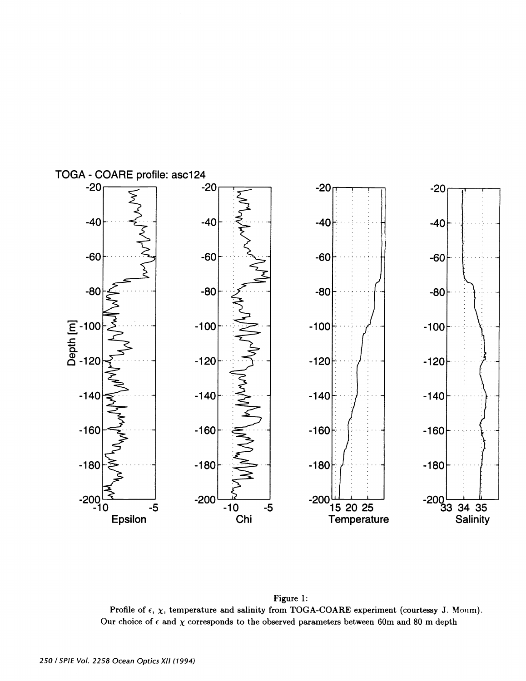

Figure 1: Profile of  $\epsilon$ ,  $\chi$ , temperature and salinity from TOGA-COARE experiment (courtessy J. Mourn). Our choice of  $\epsilon$  and  $\chi$  corresponds to the observed parameters between 60m and 80 m depth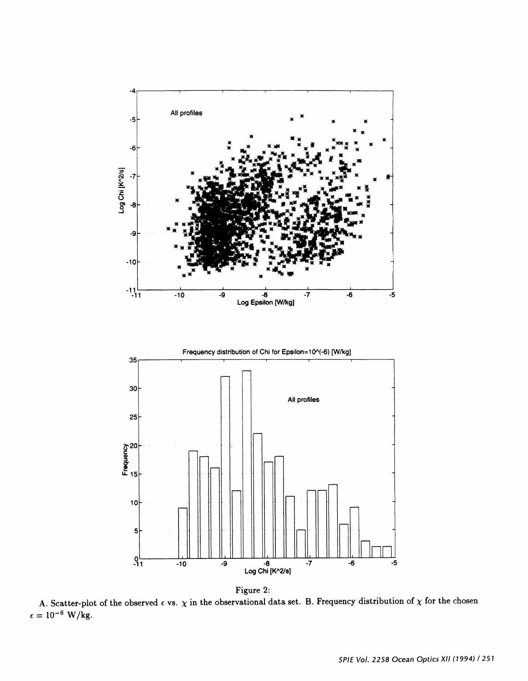



A. Scatter-plot of the observed  $\epsilon$  vs.  $\chi$  in the observational data set. B. Fi  $= 10^{-6}$  W/kg. B. Frequency distribution of  $\chi$  for the chosen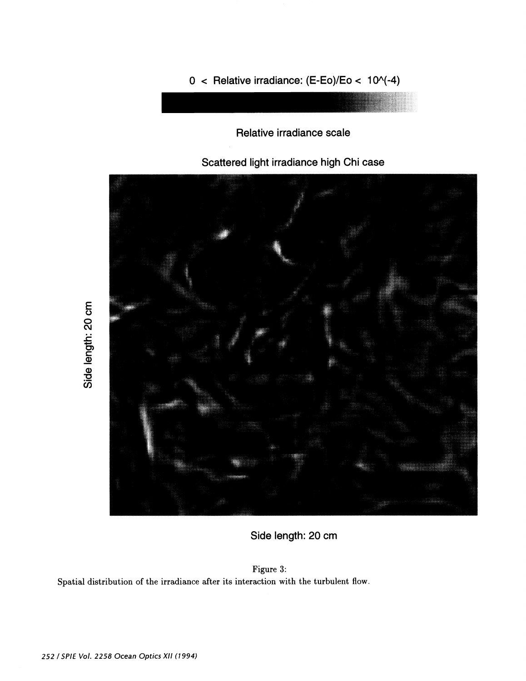

 $0 <$  Relative irradiance: (E-Eo)/Eo < 10 $\sqrt{-4}$ )

Relative irradiance scale

Side length: 20 cm

Figure 3: Spatial distribution of the irradiance after its interaction with the turbulent flow.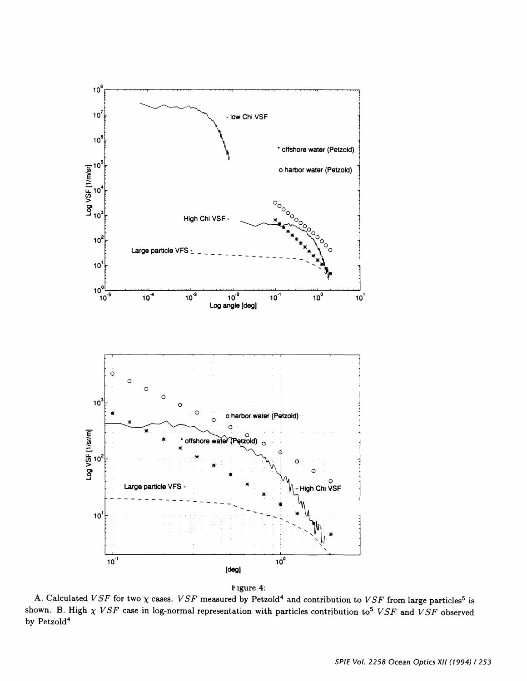



A. Calculated VSF for two  $\chi$  cases. VSF measured by Petzold<sup>4</sup> and contribution to VSF from large particles<sup>5</sup> is shown. B. High  $\chi VSF$  case in log-normal representation with particles contribution to<sup>5</sup> VSF and VSF observed by Petzold<sup>4</sup>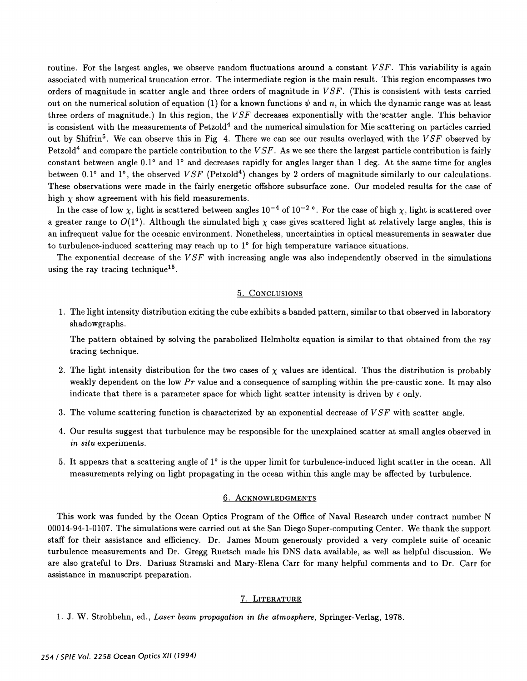routine. For the largest angles, we observe random fluctuations around a constant  $VSF$ . This variability is again associated with numerical truncation error. The intermediate region is the main result. This region encompasses two orders of magnitude in scatter angle and three orders of magnitude in VSF. (This is consistent with tests carried out on the numerical solution of equation (1) for a known functions  $\psi$  and n, in which the dynamic range was at least three orders of magnitude.) In this region, the  $VSF$  decreases exponentially with the scatter angle. This behavior is consistent with the measurements of Petzold<sup>4</sup> and the numerical simulation for Mie scattering on particles carried out by Shifrin<sup>5</sup>. We can observe this in Fig 4. There we can see our results overlayed with the  $VSF$  observed by Petzold<sup>4</sup> and compare the particle contribution to the  $VSF$ . As we see there the largest particle contribution is fairly constant between angle 0.1° and 1° and decreases rapidly for angles larger than 1 deg. At the same time for angles between 0.1° and 1°, the observed  $VSF$  (Petzold<sup>4</sup>) changes by 2 orders of magnitude similarly to our calculations. These observations were made in the fairly energetic offshore subsurface zone. Our modeled results for the case of high  $\chi$  show agreement with his field measurements.

In the case of low x, light is scattered between angles  $10^{-4}$  of  $10^{-2}$  °. For the case of high x, light is scattered over a greater range to  $O(1^{\circ})$ . Although the simulated high  $\chi$  case gives scattered light at relatively large angles, this is an infrequent value for the oceanic environment. Nonetheless, uncertainties in optical measurements in seawater due to turbulence-induced scattering may reach up to 1° for high temperature variance situations.

The exponential decrease of the  $VSF$  with increasing angle was also independently observed in the simulations using the ray tracing technique<sup>15</sup>.

#### 5. CoNcLusioNs

1 . The light intensity distribution exiting the cube exhibits a banded pattern, similar to that observed in laboratory shadowgraphs.

The pattern obtained by solving the parabolized Helmholtz equation is similar to that obtained from the ray tracing technique.

- 2. The light intensity distribution for the two cases of  $\chi$  values are identical. Thus the distribution is probably weakly dependent on the low  $Pr$  value and a consequence of sampling within the pre-caustic zone. It may also indicate that there is a parameter space for which light scatter intensity is driven by  $\epsilon$  only.
- 3. The volume scattering function is characterized by an exponential decrease of  $VSF$  with scatter angle.
- 4. Our results suggest that turbulence may be responsible for the unexplained scatter at small angles observed in in situ experiments.
- 5. It appears that a scattering angle of  $1^{\circ}$  is the upper limit for turbulence-induced light scatter in the ocean. All measurements relying on light propagating in the ocean within this angle may be affected by turbulence.

# 6. ACKNOWLEDGMENTS

This work was funded by the Ocean Optics Program of the Office of Naval Research under contract number N 00014-94-1-0107. The simulations were carried out at the San Diego Super-computing Center. We thank the support staff for their assistance and efficiency. Dr. James Moum generously provided a very complete suite of oceanic turbulence measurements and Dr. Gregg Ruetsch made his DNS data available, as well as helpful discussion. We are also grateful to Drs. Dariusz Stramski and Mary-Elena Carr for many helpful comments and to Dr. Carr for assistance in manuscript preparation.

#### 7. LITERATURE

1. J. W. Strohbehn, ed., Laser beam propagation in the atmosphere, Springer-Verlag, 1978.